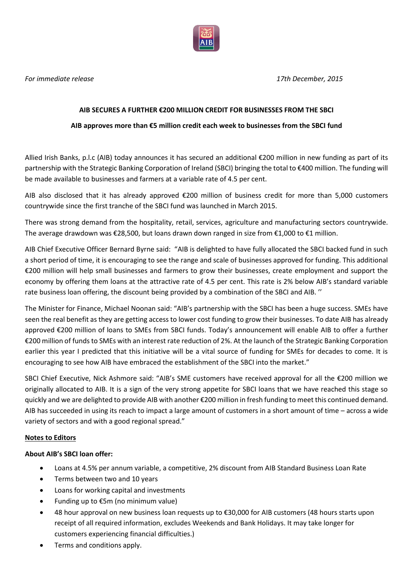

*For immediate release 17th December, 2015*

### **AIB SECURES A FURTHER €200 MILLION CREDIT FOR BUSINESSES FROM THE SBCI**

### **AIB approves more than €5 million credit each week to businesses from the SBCI fund**

Allied Irish Banks, p.l.c (AIB) today announces it has secured an additional €200 million in new funding as part of its partnership with the Strategic Banking Corporation of Ireland (SBCI) bringing the total to €400 million. The funding will be made available to businesses and farmers at a variable rate of 4.5 per cent.

AIB also disclosed that it has already approved €200 million of business credit for more than 5,000 customers countrywide since the first tranche of the SBCI fund was launched in March 2015.

There was strong demand from the hospitality, retail, services, agriculture and manufacturing sectors countrywide. The average drawdown was €28,500, but loans drawn down ranged in size from €1,000 to €1 million.

AIB Chief Executive Officer Bernard Byrne said: "AIB is delighted to have fully allocated the SBCI backed fund in such a short period of time, it is encouraging to see the range and scale of businesses approved for funding. This additional €200 million will help small businesses and farmers to grow their businesses, create employment and support the economy by offering them loans at the attractive rate of 4.5 per cent. This rate is 2% below AIB's standard variable rate business loan offering, the discount being provided by a combination of the SBCI and AIB. ''

The Minister for Finance, Michael Noonan said: "AIB's partnership with the SBCI has been a huge success. SMEs have seen the real benefit as they are getting access to lower cost funding to grow their businesses. To date AIB has already approved €200 million of loans to SMEs from SBCI funds. Today's announcement will enable AIB to offer a further €200 million of funds to SMEs with an interest rate reduction of 2%. At the launch of the Strategic Banking Corporation earlier this year I predicted that this initiative will be a vital source of funding for SMEs for decades to come. It is encouraging to see how AIB have embraced the establishment of the SBCI into the market."

SBCI Chief Executive, Nick Ashmore said: "AIB's SME customers have received approval for all the €200 million we originally allocated to AIB. It is a sign of the very strong appetite for SBCI loans that we have reached this stage so quickly and we are delighted to provide AIB with another €200 million in fresh funding to meet this continued demand. AIB has succeeded in using its reach to impact a large amount of customers in a short amount of time – across a wide variety of sectors and with a good regional spread."

# **Notes to Editors**

# **About AIB's SBCI loan offer:**

- Loans at 4.5% per annum variable, a competitive, 2% discount from AIB Standard Business Loan Rate
- Terms between two and 10 years
- Loans for working capital and investments
- Funding up to €5m (no minimum value)
- 48 hour approval on new business loan requests up to €30,000 for AIB customers (48 hours starts upon receipt of all required information, excludes Weekends and Bank Holidays. It may take longer for customers experiencing financial difficulties.)
- Terms and conditions apply.